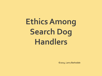# **Ethics Among Search Dog Handlers**

©2015, Larry Barksdale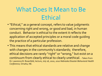## What Does It Mean to Be Ethical

- "Ethical," as a general concept, refers to value judgments concerning right and wrong, or good and bad, in human conduct. Behavior is ethical to the extent it reflects the application of accepted principles or a moral code guiding the practice of a particular profession.
- This means that ethical standards are relative and change with changes in the community's standards; therefore, ethical decisions are rarely "right" or "wrong," but exist on a continuum from clearly ethical to clearly unethical. - Taken from Dr. Lawrence B. Rosenfeld, lecture, July 16, 2010, *2010 Nebraska Disaster Behavioral Health Conference,* Omaha, NE.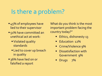### Is there a problem?

- 45% of employees have lied to their supervisor
- 51% have committed an unethical act at work:
	- Violated quality standards
	- **Lied to cover up breach** in quality
- 36% have lied on or falsified a report

What do you think is the most important problem facing the country today?"

- Ethics, dishonesty 13
- **Education 12%**
- Crime/Violence 9%
- **•** Dissatisfaction with Government 9%
- **Drugs** 7%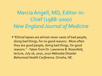Marcia Angell, MD, Editor-in-Chief (1988-2000) *New England Journal of Medicine*

**"** "Ethical lapses are almost never cases of bad people, doing bad things, for no good reasons. More often they are good people, doing bad things, for good reasons." -Taken from Dr. Lawrence B. Rosenfeld, lecture, July 16, 2010, *2010 Nebraska Disaster Behavioral Health Conference,* Omaha, NE.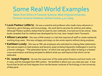### Some Real World Examples

Taken from Ethics in Forensic Science, West Virginia University, Forensic Science Initiative, Online Course, 5.11.2009.

- **Louis Pasteur (1880's):** He was a scientist and professor who made many advances in chemistry, germ therapy, and immunology. His work led to vaccines for anthrax and rabies. Although Pasteur publicly stated that he used his own methods, it turned out to be untrue. Data books revealed that his method was developed by his rival, Jean-Joseph-Henri Toussaint.
- **Allison Lancaster**: She was a DNA analyst in a lab that required all staff to rotate weekends working drug cases. She was unhappy and angry so she wrote reports without doing analyses.
- **Kathleen Lundy:** She was an FBI Lab employee who admitted to making false statements. She was an expert on lead analysis and became upset at being frequently challenged in court by a former colleague. "The adrenaline factor," of which she was guilty refers to being in a heated cross-examination and being tempted to defend what you said beyond that which can be defended.
- **Dr. Joseph Kopera:** He was the supervisor of the state police firearms and tool marks unit in 2000, and he managed their IBIS system. He testified in about 100-125 cases per year. It was found that he did not hold degrees from the Rochester Institute of Technology or the University of Maryland.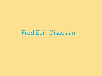### Fred Zain Discussion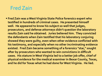**Fred Zain was a West Virginia State Police forensics expert who testified in hundreds of criminal cases. He presented himself well. He appeared to know his subject so well that judges, prosecutors, and defense attorneys didn't question the laboratory results Zain said he obtained. Juries believed him. They convicted the defendants when Zain testified that his laboratory conjuring showed they were guilty, even when other evidence conflicted with his testimony, and especially when no other incriminating evidence existed. Fred Zain became something of a forensics "star," sought after by prosecutors who wanted to win convictions in difficult cases. His stature in West Virginia led to a better job offer, chief of physical evidence for the medical examiner in Bexar County, Texas, and he did for Texas what he had done for West Virginia. He lied.**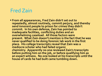**From all appearances, Fred Zain didn't set out to repeatedly, almost routinely, commit perjury, and thereby send innocent people to prison for crimes they didn't commit. In his own defense, Zain has pointed to inadequate facilities, conflicting duties and an overwhelming caseload. All those factors were present. What Zain doesn't mention is the fact that he was never qualified to be doing forensic lab work in the first place. His college transcripts reveal that Zain was a mediocre scholar who had failed organic chemistry. Apparently no one reviewed Zain's transcripts before putting him on the job, or before qualifying him as an expert witness. No one looked at his transcripts until the house of cards he had built came tumbling down.**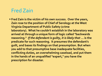**Fred Zain is the victim of his own success. Over the years, Zain rose to the position of Chief of Serology at the West Virginia Department of Public Safety (crime laboratory). What he couldn't establish in the laboratory was arrived at through a unique form of logic called "backwards reasoning."** *If the defendant is guilty, it is likely that ...* **is the predicate for such reasoning. It presumes the defendant's guilt, and bases its findings on that presumption. But when you add to that presumptive base inadequate facilities, conflicting duties, an overwhelming caseload, and put them in the hands of an unqualified "expert," you have the prescription for disaster.**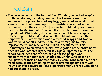**The disaster came in the form of Glen Woodall, convicted in 1987 of multiple felonies, including two counts of sexual assault, and sentenced to a prison term of 203 to 335 years. At Woodall's trial, Zain testified that, based upon his scientific analysis of semen recovered from the victims, "[t]he assailant's blood types ... were identical to Mr. Woodall's." Woodall's conviction was affirmed on appeal, but DNA testing done in a subsequent** *habeas corpus* **proceeding established that Woodall could not have been the perpetrator. His conviction was overturned in 1992 and Woodall was freed. Woodall sued the State of West Virginia for false imprisonment, and received \$1 million in settlement. This ultimately led to an extraordinary investigation of the entire body of Zain's work ordered by the West Virginia Supreme Court. The report concluded that the actual guilt of 134 people was substantively in doubt because the convictions were based on inculpatory reports and/or testimony by Zain. Nine men have been freed because the remaining evidence offered against them was insufficient for conviction ~ the expert testimony of Fred Zain alone had put them in prison.**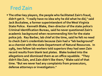**The other key players, the people who facilitated Zain's fraud, didn't get it. "I really have no idea why he did what he did," said Jack Buckalew, a former superintendent of the West Virginia State Police. Kenneth Blake, then-director of the state police's Criminal Identification Bureau, said he never questioned Zain's academic background when recommending him for the state police job. Ray Barber, lab chief at the time, said he felt no need to check Zain's credentials because Zain had a "lab background" as a chemist with the state Department of Natural Resources. In 1985, two fellow lab workers told superiors they had seen Zain record results from blank test plates. Blake looked into the allegations and dismissed them as an office squabble. "They didn't like Zain, and Zain didn't like them," Blake said of that time. "But we never had any complaints from prosecutors, defense attorneys or investigators."**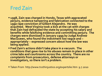- **1998, Zain was charged in Hondo, Texas with aggravated perjury, evidence tampering and fabrication connected to the 1990 rape conviction of Gilbert Alejandro. He was acquitted. West Virginia took a kick at the cat with charges that Zain had defrauded the state by accepting his salary and benefits while falsifying evidence and committing perjury. The charges were dismissed in January 1999 by Judge Andrew MacQueen, who found the indictment too vague and ~ appropriately ~ expressed concern about how the law was being applied.**
- **Fred Zain's actions didn't take place in a vacuum. The conditions that gave rise to his abuses remain in place in other crime labs and courtrooms across the country. There are no complaints from prosecutors, defense attorneys or investigators, so there isn't a problem.**

Taken From http://www.truthinjustice.org/expertslie.htm 9.7.2010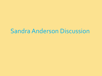#### Sandra Anderson Discussion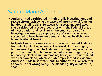#### Sandra Marie Anderson

- **Anderson had participated in high-profile investigations and rescue efforts, achieving a measure of international fame for her dog-handling skills. Between June 2001 and April 2002, she participated in several searches with the Federal Bureau of Investigation and local law enforcement as part of an investigation into the disappearance of a woman who was suspected to have been murdered and buried in Michigan's Huron National Forest.**
- **In April of 2002, a crime-scene technician witnessed Anderson fraudulently planting a bone in the forest. A wide-ranging federal investigation into Anderson's wrongdoing revealed a pattern of fraudulent behavior. In multiple investigations, she repeatedly planted human remains, fibers, and items stained with her own blood, which she later represented as evidence. Anderson made false statements to authorities in an attempt to cover up her wrongdoing. She pleaded guilty on March 10, 2004.**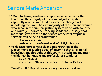#### Sandra Marie Anderson

 **"Manufacturing evidence is reprehensible behavior that threatens the integrity of our criminal justice system, especially when committed by someone charged with upholding the law. The vast majority of the men and women who serve in the criminal justice system do so with honesty and courage. Today's sentencing sends the message that individuals who tarnish the service of their fellow public servants will be held accountable."**

**R. Alexander Acosta**

**Assistant Attorney General for the Civil Rights Division**

 **"This case represents a clear demonstration of the Department of Justice's goal of ensuring that all criminal investigations throughout this country attain and maintain the highest honorable and professional standards,"** 

**Craig S. Morford,**

**United States Attorney for the Eastern District of Michigan**

**Taken From U.S. Deptartment of Justice press release, 9-28-04**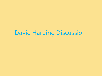### David Harding Discussion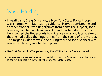- In April 1993, Craig D. Harvey, a New York State Police trooper was charged with fabricating evidence. Harvey admitted he and another trooper lifted fingerprints from items the suspect, John Spencer, touched while in Troop C headquarters during booking. He attached the fingerprints to evidence cards and later claimed that he had pulled the fingerprints from the scene of the murder. The forged evidence was used during trial and John Spencer was sentenced to 50 years to life in prison.
- **New York State Police Troop C scandal,** From Wikipedia, the free encyclopedia
- The **New York State Police Troop C scandal** involved the fabrication of evidence used to convict suspects in New York by the New York State Police.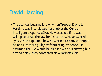**The scandal became known when Trooper David L.** Harding was interviewed for a job at the Central Intelligence Agency (CIA). He was asked if he was willing to break the law for his country. He answered "yes", then explained how he worked to convict people he felt sure were guilty by fabricating evidence. He assumed the CIA would be pleased with his answer, but after a delay, they contacted New York officials.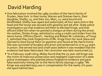- One fabrication involved the 1989 murders of the Harris family of Dryden, New York. In their home, Warren and Dolores Harris, their daughter, Shelby, 15, and their son, Marc, 11, were bound and blindfolded, Shelby was raped and sodomized, all four were shot in the head and the house was doused with gasoline and set afire. State police investigators say that evidence led them to Michael Kinge, and that officers killed him when he pointed a shotgun at them during the arrest. His mother, Shirley Kinge, admitted to using a credit card stolen from the Harris home. Officers David L. Harding and Robert M. Lishansky, of Troop C, admitted they took fingerprints of Ms. Kinge from her work place and claimed to have found them on gasoline cans found at the Harris home. She was convicted of burglary and arson and sentenced to 17 to 44 years in prison. She served two and a half years before it was revealed that the evidence had been fabricated. Her conviction was later overturned.[2]
- "In a February 2008 ruling, Midey found that the 73-year-old Kinge was the victim of malicious prosecution and negligent supervision of a state police investigator who planted phony fingerprint evidence and gave false testimony linking her to the Harris family slayings in 1989." Ms Kinge was awarded \$250,000 in compensation for the nearly 2½ years she spent behind bars.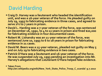- **Craig D. Harvey was a lieutenant who headed the identification unit, and was a 16-year veteran of the force. He pleaded guilty on July 29, 1993 to fabricating evidence in three cases, and agreed to serve 2½ to 7 years in prison.**
- **David L. Harding was a 7-year veteran of the force, was sentenced on December 16, 1992, to 4 to 12 years in prison and fined \$20,000 for fabricating evidence in four documented cases.**
- **Robert M. Lishansky was an 11-year veteran of the force, was sentenced June 10, 1993 to 6 to 18 years in prison for fabricating evidence in 21 cases.**
- **David M. Beers was a 15-year veteran, pleaded not guilty on May 5 and on July 29 to fabricating evidence in two cases.**
- **Patrick O'Hara was a lieutenant and 16-year veteran of the force. He was suspended July 29, 1993 pending an investigation into Mr. Harvey's allegations that Lieutenant O'Hara helped fake evidence.**

**Taken From** 

**http://en.wikipedia.org/wiki/New\_York\_State\_Police\_Troop\_C\_scandal 9.7.2010**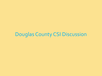#### Douglas County CSI Discussion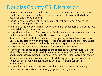#### Douglas County CSI Discussion

- **CASS COUNTY, Neb. --** David Kofoed, the disgraced former Douglas County chief crime scene investigator, has been sentenced to 20 months to four years for evidence tampering.
- **Judge Randall Rehmeier of Cass County District Court handed down the** sentence at 4:36 p.m. Tuesday.
- Rehmeier cited Kofoed's lack of remorse and the seriousness of the crime just before delivering the sentence.
- The judge said he could find no motive for the evidence tampering other than that it seemed Kofoed thought the two men were guilty.
- Rehmeier convicted Kofoed in March of tampering with evidence in a 2006 Cass County case in which two men -- Nicholas Sampson and Matthew Livers -- were wrongly charged in a double murder and spent months in prison.
- **The earliest Kofoed would be eligible for parole is in 10 months.**
- "I think there's some poetic justice to the sentence," said Prosecutor Clarence Mock. "Ten months would be right about the amount of time that Mr. Livers and Mr. Sampson remained incarcerated before their cases were dismissed."
- Kofoed's lawyers said his client can't afford the \$50,000 appeal bond needed to get out of jail, which means Kofoed will likely start his sentence immediately.
- Kofoed has said that he plans to appeal his conviction after sentencing.
- Taken From http://www.ketv.com/news/23758656/detail.html 9.7.2010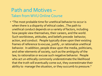#### Path and Motives – Taken from WVU Online Course

• "The most probable time for unethical behavior to occur is when there is a disparity of ethical codes…The path to unethical conduct depends on a variety of factors, including how people view themselves, their careers, and the world. Such worldviews, attitudes, and beliefs precede behavior, action, and conduct. People typically draw upon their existing frames of reference to excuse, justify , or rationalize unethical behavior. In addition, people draw upon the media, politicians, and other elements of society, such as the ambiguity of the law, to rationalize or excuse such negative behavior. People who act un-ethically commonly underestimate the likelihood that the truth will eventually come out, they overestimate their ability to manage the situation, or they succumb to pressure."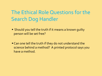#### The Ethical Role Questions for the Search Dog Handler

- Should you tell the truth if it means a known guilty person will be set free?
- **Can one tell the truth if they do not understand the** science behind a method? A printed protocol says you have a method.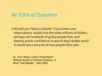#### An Ethical Question

 Should you "blow a whistle" if you knew your observations would cost the state millions of dollars, perhaps set hundreds of guilty people free, and destroy public confidence in search dog handler work? It would also cost a lot of nice people their jobs.

Dr. John Wang, Online Presentation "Ethical Issues in Forensic Science: A Mock Trail Debate," May 2009.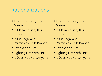#### Rationalizations

- **The Ends Justify The** Means
- **If It Is Necessary It Is Ethical**
- **If it is Legal and** Permissible, It Is Proper
- **ELittle White Lies**
- Fighting Fire With Fire
- **It Does Not Hurt Anyone**
- **The Ends Justify The** Means
- **If It Is Necessary It Is Ethical**
- **If it is Legal and** Permissible, It Is Proper
- **ELittle White Lies**
- Fighting Fire With Fire
- **It Does Not Hurt Anyone**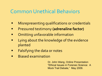#### Common Unethical Behaviors

- **E** Misrepresenting qualifications or credentials
- **Phene** Pressured testimony (adrenaline factor)
- **•** Omitting unfavorable information
- **E** Lying about the knowledge of the evidence planted
- **Falsifying the data or notes**
- **Biased examination**

Dr. John Wang, Online Presentation "Ethical Issues in Forensic Science: A Mock Trail Debate," May 2009.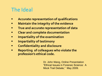#### The Ideal

- **Accurate representation of qualifications**
- **Maintain the integrity of the evidence**
- **True and accurate representation of data**
- **Clear and complete documentation**
- **Impartiality of the examination**
- **Impartiality of testimony**
- **Confidentiality and disclosure**
- **Reporting of colleagues who violate the profession's ethical code.**

Dr. John Wang, Online Presentation "Ethical Issues in Forensic Science: A Mock Trail Debate," May 2009.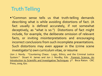#### Truth Telling

"Common sense tells us that truth-telling demands describing what is while avoiding distortions of fact. (A fact usually is defined accurately, if not somewhat deceptively, as "what is so.") Distortions of fact might include, for example, the deliberate omission of relevant facts, or inviting misinterpretations and encouraging incorrect conclusions from such incomplete presentations. Such distortions may even appear in the (crime scene investigator's) own curriculum vitae, or resume

(Jon J. Nordy. "Countering Chaos: Logic, Ethics, and the Criminal Justice System." Stuart H. James and Jon J. Nordby, Eds. Forensic Science, An Introduction to Scientific and Investigative Techniques. 3rd. Boca Raton: CRC Press, 2009, 670.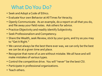#### What Do You Do?

- Seek and Adopt a Code of Ethics.
- Evaluate Your own Behavior at All Times for Veracity.
- Openly Communicate. As an example, do a report on all that you do, and file away your field notes. Ask others for advice.
- Practice Objectivity and readily identify Subjectivity.
- Seek Professionalism and Competency.
- Share the Wealth, seek Review, stick by your guns, and try as you may to "Get It Right."
- We cannot always be the best there ever was, we can only be the best we can be at a given time and place.
- Recognize that none of us are without mistake. We all have and will make mistakes of various types.
- Control the competitive drive. You will "never" be the best CSI.
- Participate in professional organizations.
- Teach others.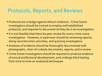#### Protocols, Reports, and Reviews

- Protocols are a hedge against ethical violations. Crime Scene investigators should be trained to employ well established protocols, and required to document all they do in an investigation.
- If is not feasible that there be peer review for every crime scene investigation. However, a supervisor should be reviewing reports, doing reconstruction activities, and quizzing investigators.
- Analyses of evidence should be thoroughly documented with photographs, chain of custody documents, reports, and a review.
- Crime Scene Investigators should be required to produce evidence of annual professional development, and undergo blind testing from time to time on analytical techniques.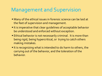#### Management and Supervision

- Many of the ethical issues in forensic science can be laid at the feet of supervision and management.
- If is imperative that clear guidelines of acceptable behavior be understood and enforced without exception.
- **Ethical behavior is not necessarily criminal. It is more than** being rigid, being hypercritical, or trying to catch others making mistakes.
- If is recognizing what is intended to do harm to others, the carrying out of the behavior, and the toleration of the behavior.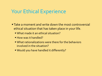#### Your Ethical Experience

- **Take a moment and write down the most controversial** ethical situation that has taken place in your life.
	- What made it an ethical situation?
	- **How was it handled?**
	- What rationalizations were there for the behaviors involved in the situation?
	- Would you have handled it differently?